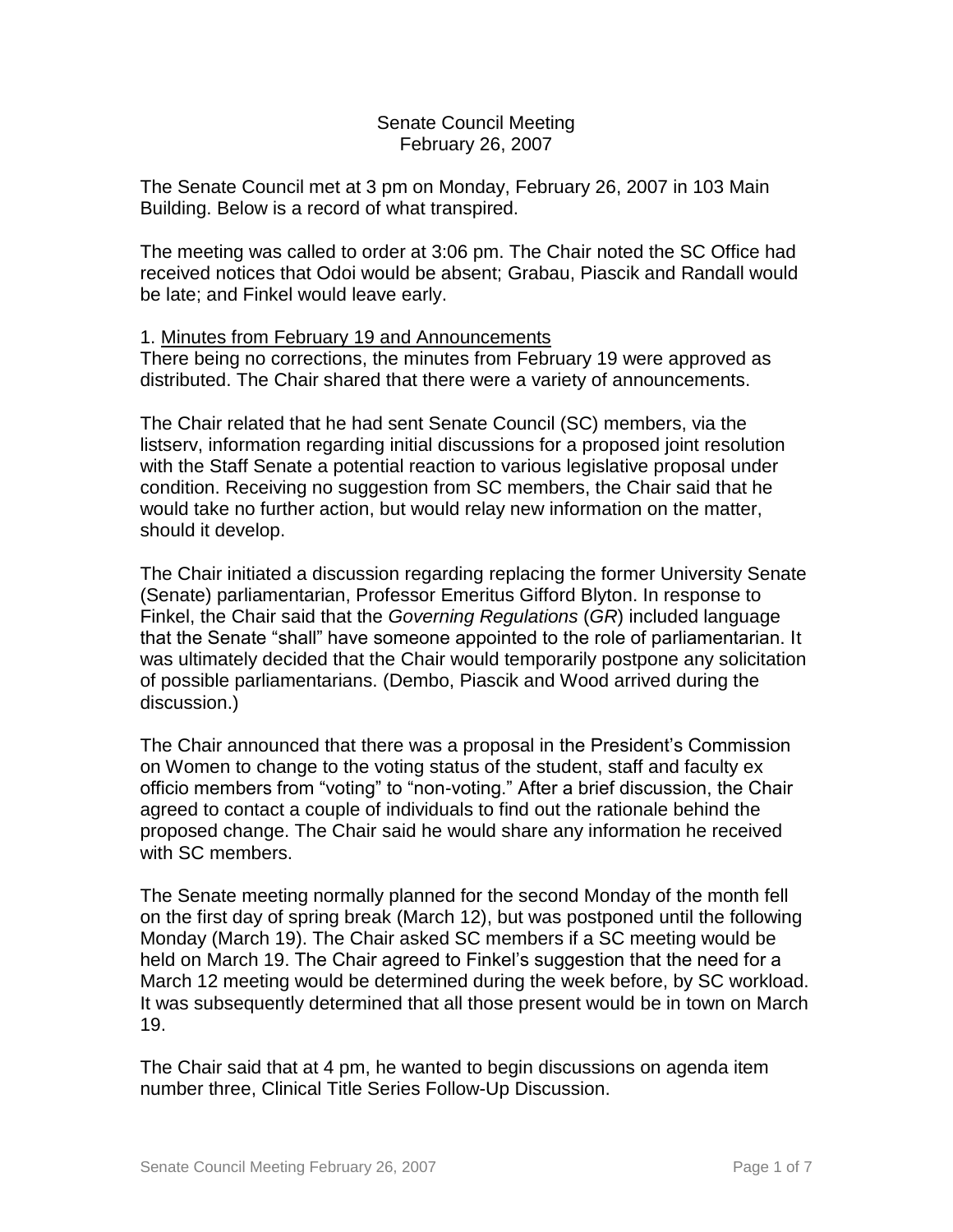## Senate Council Meeting February 26, 2007

The Senate Council met at 3 pm on Monday, February 26, 2007 in 103 Main Building. Below is a record of what transpired.

The meeting was called to order at 3:06 pm. The Chair noted the SC Office had received notices that Odoi would be absent; Grabau, Piascik and Randall would be late; and Finkel would leave early.

## 1. Minutes from February 19 and Announcements

There being no corrections, the minutes from February 19 were approved as distributed. The Chair shared that there were a variety of announcements.

The Chair related that he had sent Senate Council (SC) members, via the listserv, information regarding initial discussions for a proposed joint resolution with the Staff Senate a potential reaction to various legislative proposal under condition. Receiving no suggestion from SC members, the Chair said that he would take no further action, but would relay new information on the matter, should it develop.

The Chair initiated a discussion regarding replacing the former University Senate (Senate) parliamentarian, Professor Emeritus Gifford Blyton. In response to Finkel, the Chair said that the *Governing Regulations* (*GR*) included language that the Senate "shall" have someone appointed to the role of parliamentarian. It was ultimately decided that the Chair would temporarily postpone any solicitation of possible parliamentarians. (Dembo, Piascik and Wood arrived during the discussion.)

The Chair announced that there was a proposal in the President's Commission on Women to change to the voting status of the student, staff and faculty ex officio members from "voting" to "non-voting." After a brief discussion, the Chair agreed to contact a couple of individuals to find out the rationale behind the proposed change. The Chair said he would share any information he received with SC members.

The Senate meeting normally planned for the second Monday of the month fell on the first day of spring break (March 12), but was postponed until the following Monday (March 19). The Chair asked SC members if a SC meeting would be held on March 19. The Chair agreed to Finkel's suggestion that the need for a March 12 meeting would be determined during the week before, by SC workload. It was subsequently determined that all those present would be in town on March 19.

The Chair said that at 4 pm, he wanted to begin discussions on agenda item number three, Clinical Title Series Follow-Up Discussion.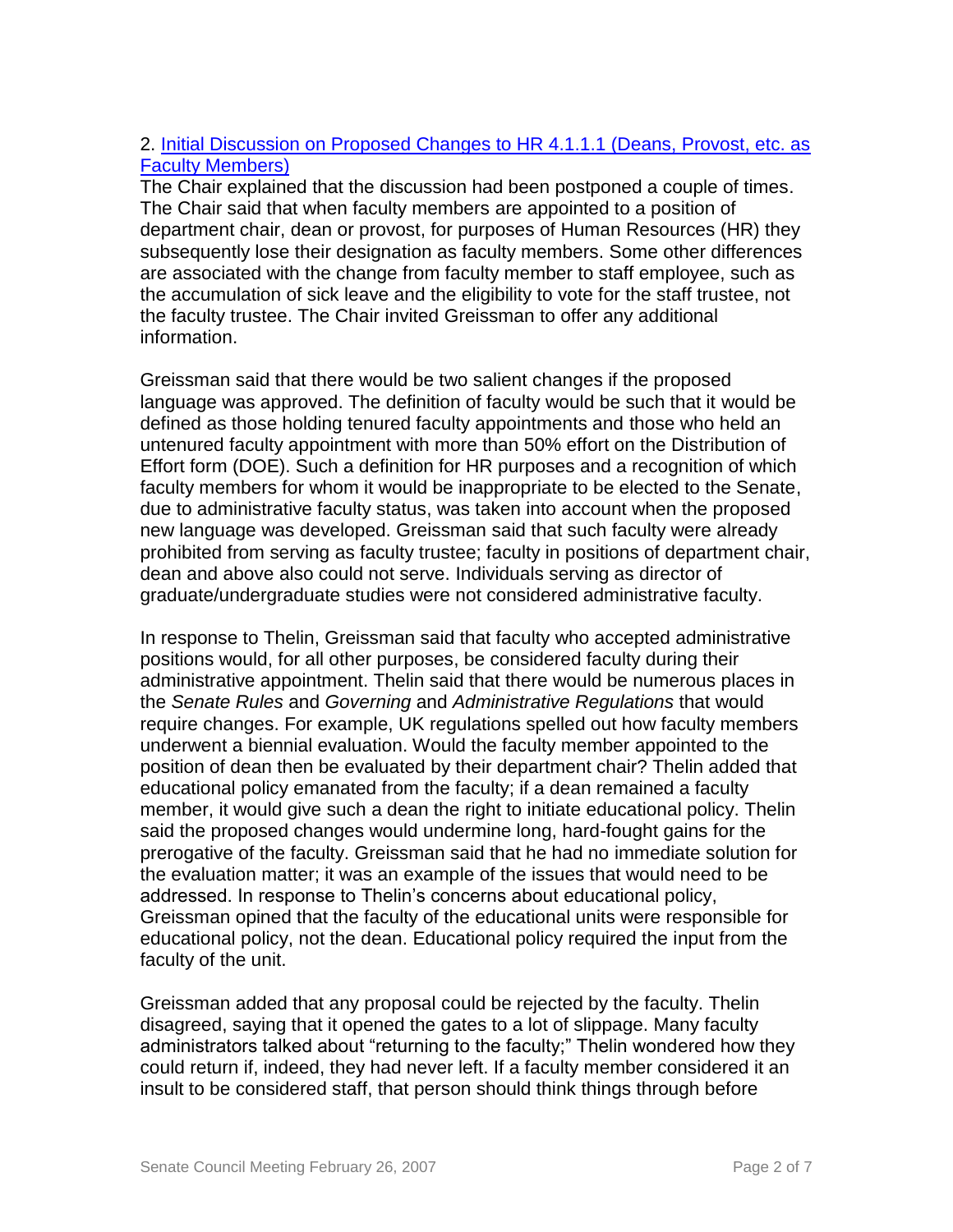## 2. [Initial Discussion on Proposed Changes to HR 4.1.1.1 \(Deans, Provost, etc. as](http://www.uky.edu/USC/New/files/20070226/HR%204%201%201%201%20_tracked%20revision%2011-16-06_.pdf)  [Faculty Members\)](http://www.uky.edu/USC/New/files/20070226/HR%204%201%201%201%20_tracked%20revision%2011-16-06_.pdf)

The Chair explained that the discussion had been postponed a couple of times. The Chair said that when faculty members are appointed to a position of department chair, dean or provost, for purposes of Human Resources (HR) they subsequently lose their designation as faculty members. Some other differences are associated with the change from faculty member to staff employee, such as the accumulation of sick leave and the eligibility to vote for the staff trustee, not the faculty trustee. The Chair invited Greissman to offer any additional information.

Greissman said that there would be two salient changes if the proposed language was approved. The definition of faculty would be such that it would be defined as those holding tenured faculty appointments and those who held an untenured faculty appointment with more than 50% effort on the Distribution of Effort form (DOE). Such a definition for HR purposes and a recognition of which faculty members for whom it would be inappropriate to be elected to the Senate, due to administrative faculty status, was taken into account when the proposed new language was developed. Greissman said that such faculty were already prohibited from serving as faculty trustee; faculty in positions of department chair, dean and above also could not serve. Individuals serving as director of graduate/undergraduate studies were not considered administrative faculty.

In response to Thelin, Greissman said that faculty who accepted administrative positions would, for all other purposes, be considered faculty during their administrative appointment. Thelin said that there would be numerous places in the *Senate Rules* and *Governing* and *Administrative Regulations* that would require changes. For example, UK regulations spelled out how faculty members underwent a biennial evaluation. Would the faculty member appointed to the position of dean then be evaluated by their department chair? Thelin added that educational policy emanated from the faculty; if a dean remained a faculty member, it would give such a dean the right to initiate educational policy. Thelin said the proposed changes would undermine long, hard-fought gains for the prerogative of the faculty. Greissman said that he had no immediate solution for the evaluation matter; it was an example of the issues that would need to be addressed. In response to Thelin's concerns about educational policy, Greissman opined that the faculty of the educational units were responsible for educational policy, not the dean. Educational policy required the input from the faculty of the unit.

Greissman added that any proposal could be rejected by the faculty. Thelin disagreed, saying that it opened the gates to a lot of slippage. Many faculty administrators talked about "returning to the faculty;" Thelin wondered how they could return if, indeed, they had never left. If a faculty member considered it an insult to be considered staff, that person should think things through before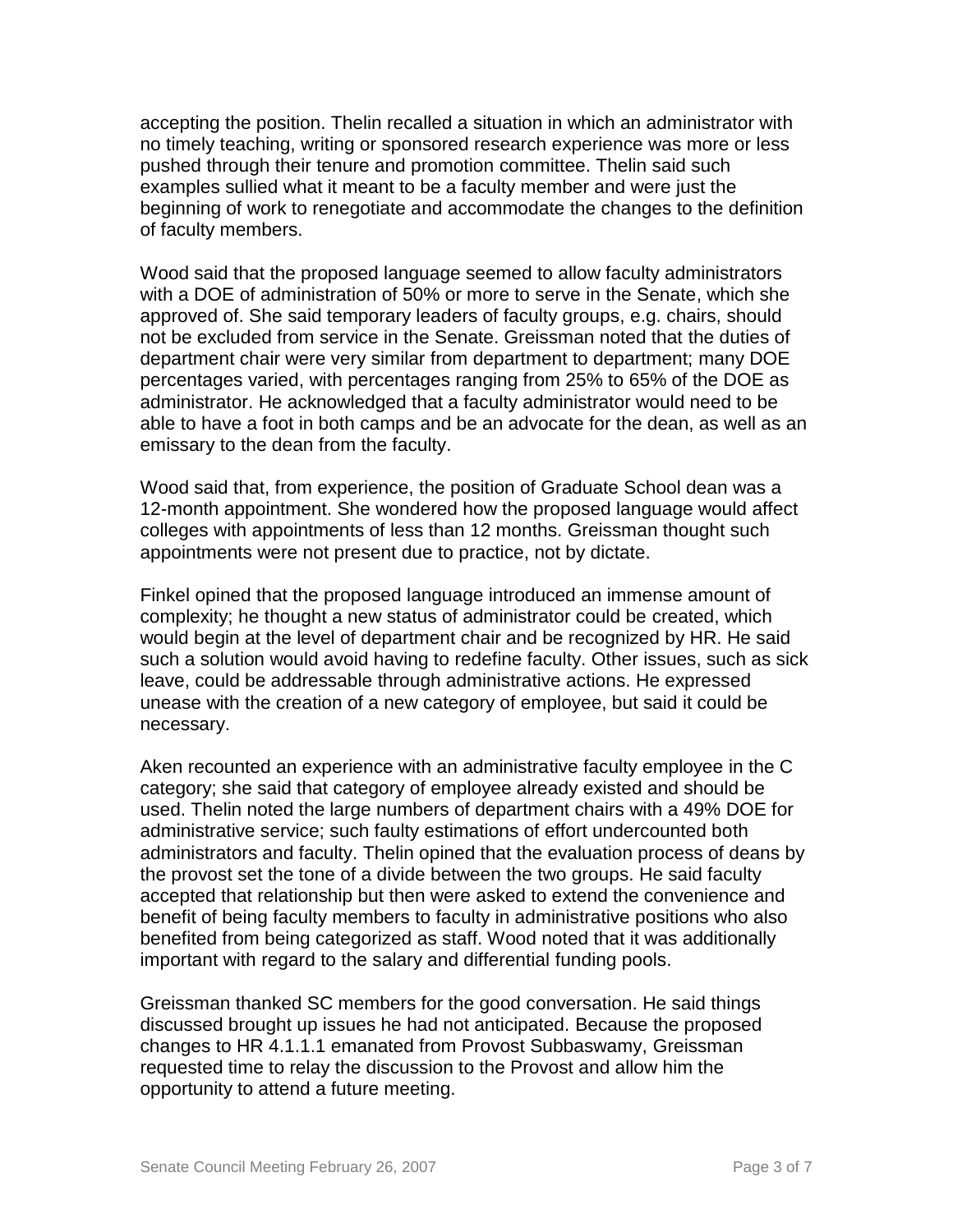accepting the position. Thelin recalled a situation in which an administrator with no timely teaching, writing or sponsored research experience was more or less pushed through their tenure and promotion committee. Thelin said such examples sullied what it meant to be a faculty member and were just the beginning of work to renegotiate and accommodate the changes to the definition of faculty members.

Wood said that the proposed language seemed to allow faculty administrators with a DOE of administration of 50% or more to serve in the Senate, which she approved of. She said temporary leaders of faculty groups, e.g. chairs, should not be excluded from service in the Senate. Greissman noted that the duties of department chair were very similar from department to department; many DOE percentages varied, with percentages ranging from 25% to 65% of the DOE as administrator. He acknowledged that a faculty administrator would need to be able to have a foot in both camps and be an advocate for the dean, as well as an emissary to the dean from the faculty.

Wood said that, from experience, the position of Graduate School dean was a 12-month appointment. She wondered how the proposed language would affect colleges with appointments of less than 12 months. Greissman thought such appointments were not present due to practice, not by dictate.

Finkel opined that the proposed language introduced an immense amount of complexity; he thought a new status of administrator could be created, which would begin at the level of department chair and be recognized by HR. He said such a solution would avoid having to redefine faculty. Other issues, such as sick leave, could be addressable through administrative actions. He expressed unease with the creation of a new category of employee, but said it could be necessary.

Aken recounted an experience with an administrative faculty employee in the C category; she said that category of employee already existed and should be used. Thelin noted the large numbers of department chairs with a 49% DOE for administrative service; such faulty estimations of effort undercounted both administrators and faculty. Thelin opined that the evaluation process of deans by the provost set the tone of a divide between the two groups. He said faculty accepted that relationship but then were asked to extend the convenience and benefit of being faculty members to faculty in administrative positions who also benefited from being categorized as staff. Wood noted that it was additionally important with regard to the salary and differential funding pools.

Greissman thanked SC members for the good conversation. He said things discussed brought up issues he had not anticipated. Because the proposed changes to HR 4.1.1.1 emanated from Provost Subbaswamy, Greissman requested time to relay the discussion to the Provost and allow him the opportunity to attend a future meeting.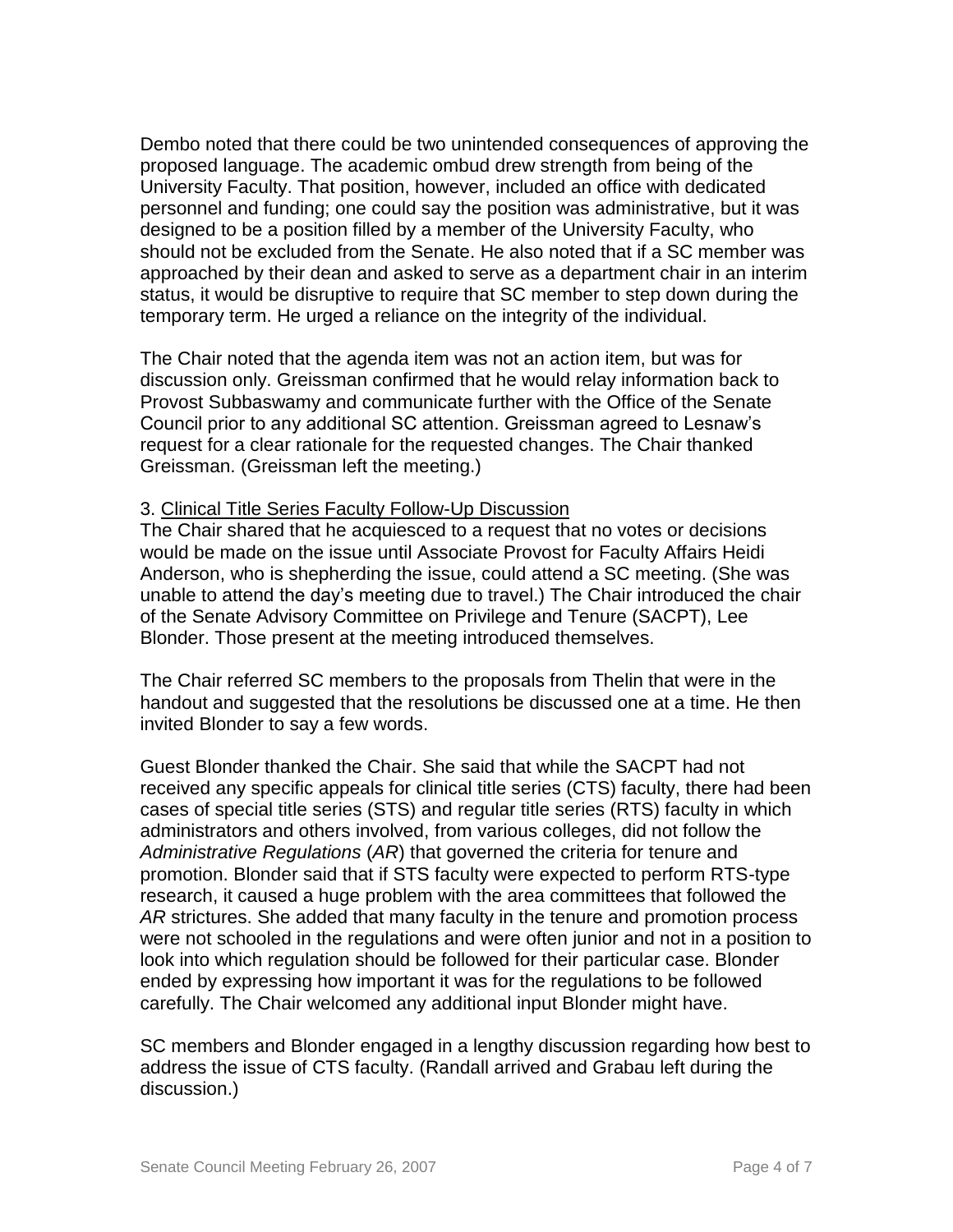Dembo noted that there could be two unintended consequences of approving the proposed language. The academic ombud drew strength from being of the University Faculty. That position, however, included an office with dedicated personnel and funding; one could say the position was administrative, but it was designed to be a position filled by a member of the University Faculty, who should not be excluded from the Senate. He also noted that if a SC member was approached by their dean and asked to serve as a department chair in an interim status, it would be disruptive to require that SC member to step down during the temporary term. He urged a reliance on the integrity of the individual.

The Chair noted that the agenda item was not an action item, but was for discussion only. Greissman confirmed that he would relay information back to Provost Subbaswamy and communicate further with the Office of the Senate Council prior to any additional SC attention. Greissman agreed to Lesnaw's request for a clear rationale for the requested changes. The Chair thanked Greissman. (Greissman left the meeting.)

## 3. Clinical Title Series Faculty Follow-Up Discussion

The Chair shared that he acquiesced to a request that no votes or decisions would be made on the issue until Associate Provost for Faculty Affairs Heidi Anderson, who is shepherding the issue, could attend a SC meeting. (She was unable to attend the day's meeting due to travel.) The Chair introduced the chair of the Senate Advisory Committee on Privilege and Tenure (SACPT), Lee Blonder. Those present at the meeting introduced themselves.

The Chair referred SC members to the proposals from Thelin that were in the handout and suggested that the resolutions be discussed one at a time. He then invited Blonder to say a few words.

Guest Blonder thanked the Chair. She said that while the SACPT had not received any specific appeals for clinical title series (CTS) faculty, there had been cases of special title series (STS) and regular title series (RTS) faculty in which administrators and others involved, from various colleges, did not follow the *Administrative Regulations* (*AR*) that governed the criteria for tenure and promotion. Blonder said that if STS faculty were expected to perform RTS-type research, it caused a huge problem with the area committees that followed the *AR* strictures. She added that many faculty in the tenure and promotion process were not schooled in the regulations and were often junior and not in a position to look into which regulation should be followed for their particular case. Blonder ended by expressing how important it was for the regulations to be followed carefully. The Chair welcomed any additional input Blonder might have.

SC members and Blonder engaged in a lengthy discussion regarding how best to address the issue of CTS faculty. (Randall arrived and Grabau left during the discussion.)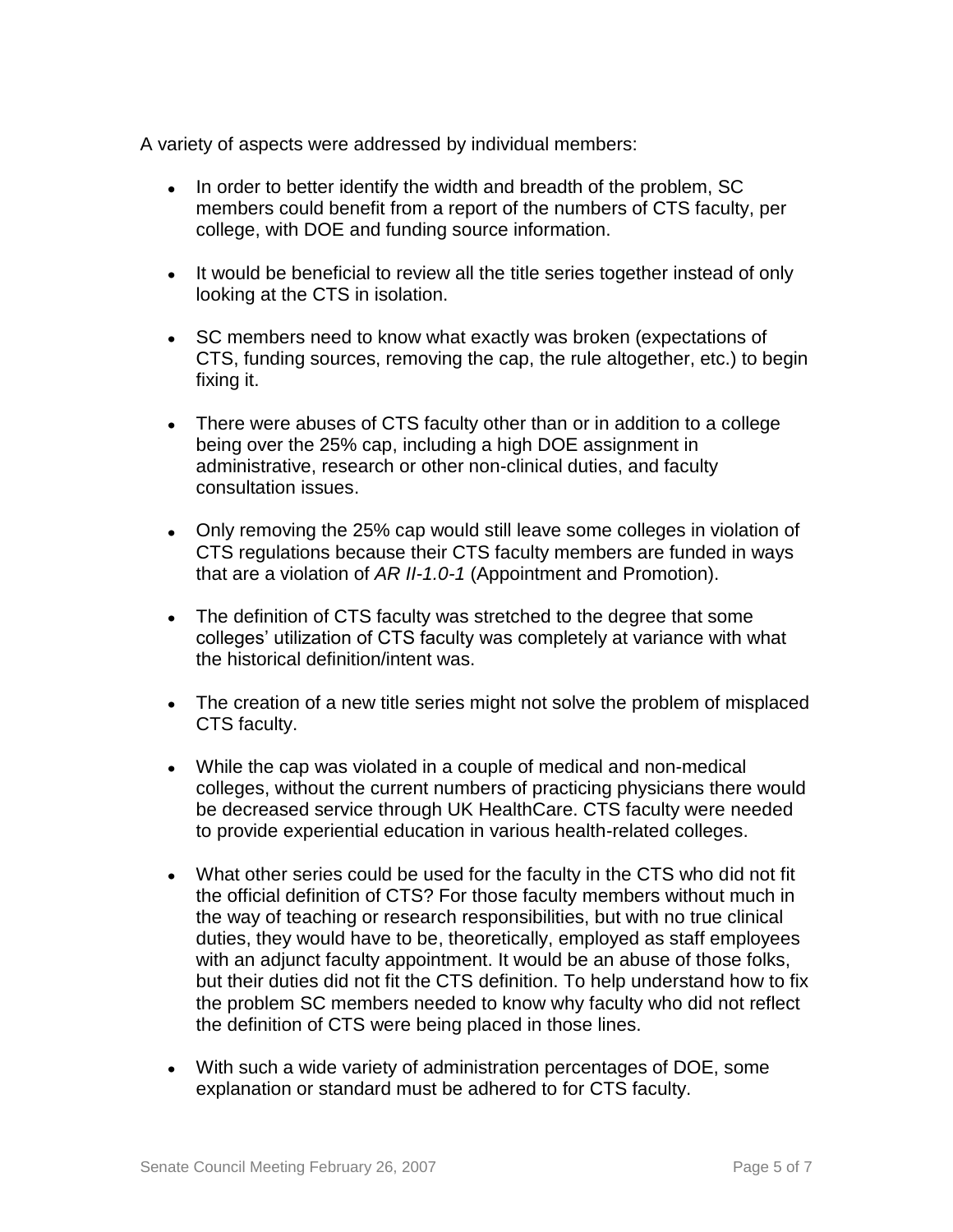A variety of aspects were addressed by individual members:

- In order to better identify the width and breadth of the problem, SC members could benefit from a report of the numbers of CTS faculty, per college, with DOE and funding source information.
- It would be beneficial to review all the title series together instead of only looking at the CTS in isolation.
- SC members need to know what exactly was broken (expectations of CTS, funding sources, removing the cap, the rule altogether, etc.) to begin fixing it.
- There were abuses of CTS faculty other than or in addition to a college being over the 25% cap, including a high DOE assignment in administrative, research or other non-clinical duties, and faculty consultation issues.
- Only removing the 25% cap would still leave some colleges in violation of CTS regulations because their CTS faculty members are funded in ways that are a violation of *AR II-1.0-1* (Appointment and Promotion).
- The definition of CTS faculty was stretched to the degree that some colleges' utilization of CTS faculty was completely at variance with what the historical definition/intent was.
- The creation of a new title series might not solve the problem of misplaced CTS faculty.
- While the cap was violated in a couple of medical and non-medical colleges, without the current numbers of practicing physicians there would be decreased service through UK HealthCare. CTS faculty were needed to provide experiential education in various health-related colleges.
- What other series could be used for the faculty in the CTS who did not fit the official definition of CTS? For those faculty members without much in the way of teaching or research responsibilities, but with no true clinical duties, they would have to be, theoretically, employed as staff employees with an adjunct faculty appointment. It would be an abuse of those folks, but their duties did not fit the CTS definition. To help understand how to fix the problem SC members needed to know why faculty who did not reflect the definition of CTS were being placed in those lines.
- With such a wide variety of administration percentages of DOE, some explanation or standard must be adhered to for CTS faculty.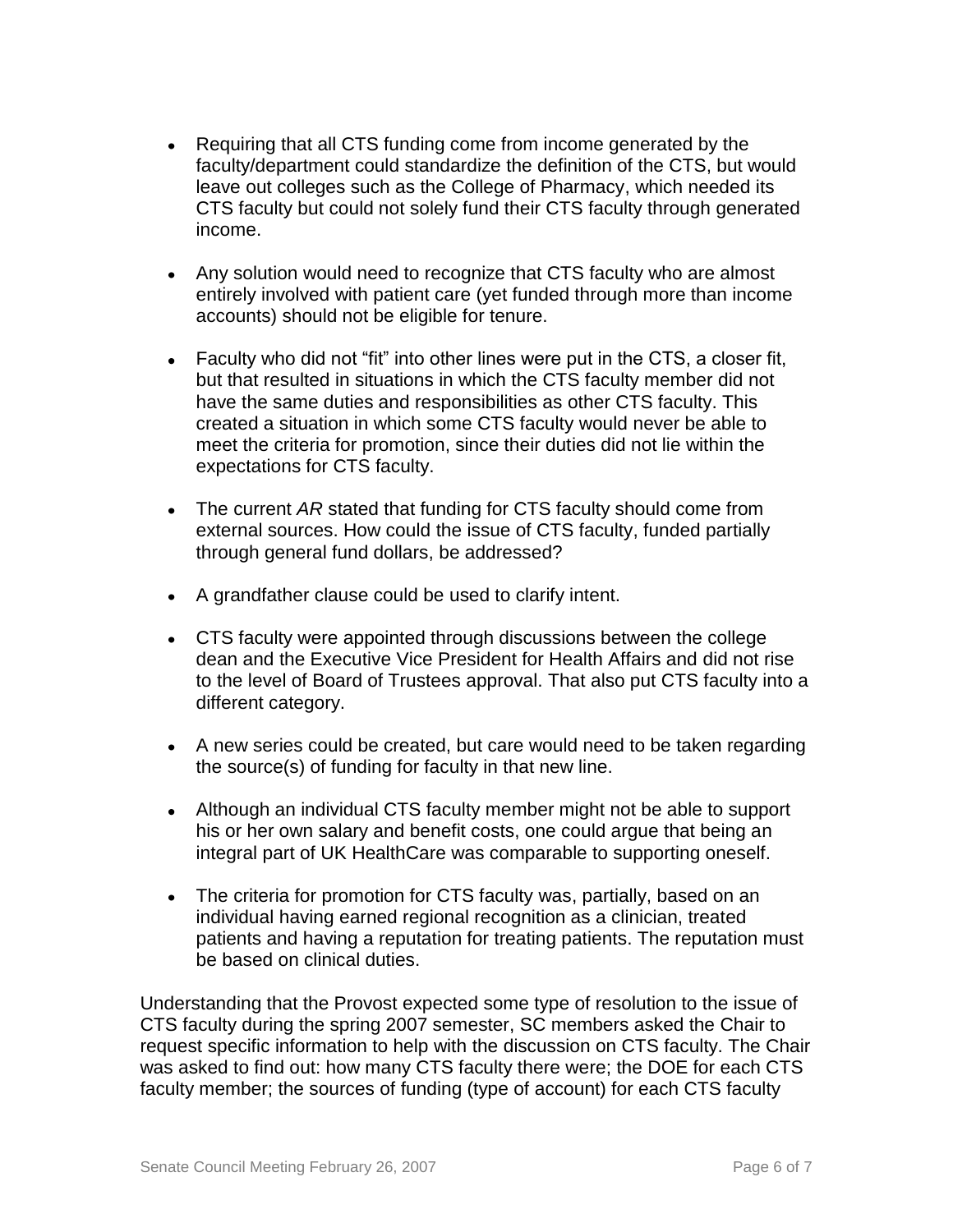- Requiring that all CTS funding come from income generated by the faculty/department could standardize the definition of the CTS, but would leave out colleges such as the College of Pharmacy, which needed its CTS faculty but could not solely fund their CTS faculty through generated income.
- Any solution would need to recognize that CTS faculty who are almost entirely involved with patient care (yet funded through more than income accounts) should not be eligible for tenure.
- Faculty who did not "fit" into other lines were put in the CTS, a closer fit, but that resulted in situations in which the CTS faculty member did not have the same duties and responsibilities as other CTS faculty. This created a situation in which some CTS faculty would never be able to meet the criteria for promotion, since their duties did not lie within the expectations for CTS faculty.
- The current *AR* stated that funding for CTS faculty should come from external sources. How could the issue of CTS faculty, funded partially through general fund dollars, be addressed?
- A grandfather clause could be used to clarify intent.
- CTS faculty were appointed through discussions between the college dean and the Executive Vice President for Health Affairs and did not rise to the level of Board of Trustees approval. That also put CTS faculty into a different category.
- A new series could be created, but care would need to be taken regarding the source(s) of funding for faculty in that new line.
- Although an individual CTS faculty member might not be able to support his or her own salary and benefit costs, one could argue that being an integral part of UK HealthCare was comparable to supporting oneself.
- The criteria for promotion for CTS faculty was, partially, based on an individual having earned regional recognition as a clinician, treated patients and having a reputation for treating patients. The reputation must be based on clinical duties.

Understanding that the Provost expected some type of resolution to the issue of CTS faculty during the spring 2007 semester, SC members asked the Chair to request specific information to help with the discussion on CTS faculty. The Chair was asked to find out: how many CTS faculty there were; the DOE for each CTS faculty member; the sources of funding (type of account) for each CTS faculty